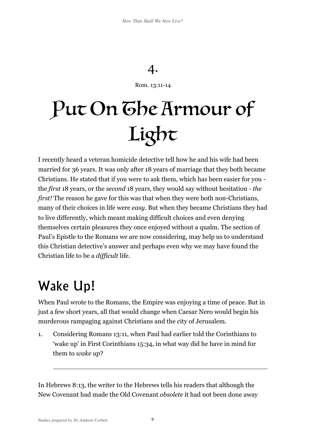## 4.

Rom. 13:11-14

## Put On Ghe Armour of Light

I recently heard a veteran homicide detective tell how he and his wife had been married for 36 years. It was only after 18 years of marriage that they both became Christians. He stated that if you were to ask them, which has been easier for you the *first* 18 years, or the *second* 18 years, they would say without hesitation - *the first!* The reason he gave for this was that when they were both non-Christians, many of their choices in life were *easy*. But when they became Christians they had to live differently, which meant making difficult choices and even denying themselves certain pleasures they once enjoyed without a qualm. The section of Paul's Epistle to the Romans we are now considering, may help us to understand this Christian detective's answer and perhaps even why we may have found the Christian life to be a *difficult* life.

## Wake Up!

 $\overline{a}$ 

When Paul wrote to the Romans, the Empire was enjoying a time of peace. But in just a few short years, all that would change when Caesar Nero would begin his murderous rampaging against Christians and the city of Jerusalem.

1. Considering Romans 13:11, when Paul had earlier told the Corinthians to 'wake up' in First Corinthians 15:34, in what way did he have in mind for them to *wake up*?

In Hebrews 8:13, the writer to the Hebrews tells his readers that although the New Covenant had made the Old Covenant *obsolete* it had not been done away